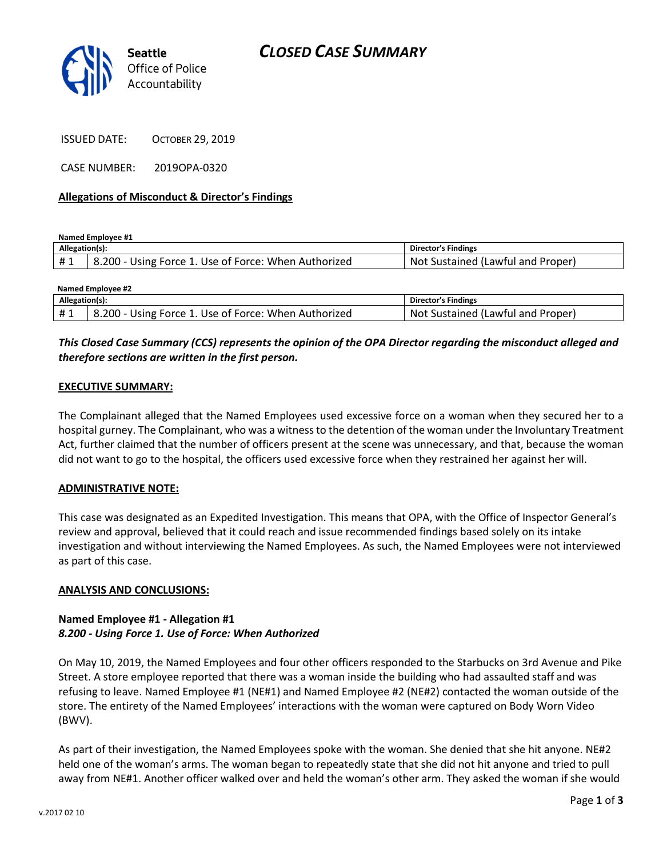

ISSUED DATE: OCTOBER 29, 2019

CASE NUMBER: 2019OPA-0320

### Allegations of Misconduct & Director's Findings

Named Employee #1

| Allegation(s): |                                                      | Director's Findings                     |
|----------------|------------------------------------------------------|-----------------------------------------|
|                | 8.200 - Using Force 1. Use of Force: When Authorized | . Sustained (Lawful and Proper)<br>Not. |

| <b>Named Employee #2</b> |                                                      |                                   |  |
|--------------------------|------------------------------------------------------|-----------------------------------|--|
| Allegation(s):           |                                                      | Director's Findings               |  |
| #1                       | 8.200 - Using Force 1. Use of Force: When Authorized | Not Sustained (Lawful and Proper) |  |

## This Closed Case Summary (CCS) represents the opinion of the OPA Director regarding the misconduct alleged and therefore sections are written in the first person.

#### EXECUTIVE SUMMARY:

The Complainant alleged that the Named Employees used excessive force on a woman when they secured her to a hospital gurney. The Complainant, who was a witness to the detention of the woman under the Involuntary Treatment Act, further claimed that the number of officers present at the scene was unnecessary, and that, because the woman did not want to go to the hospital, the officers used excessive force when they restrained her against her will.

## ADMINISTRATIVE NOTE:

This case was designated as an Expedited Investigation. This means that OPA, with the Office of Inspector General's review and approval, believed that it could reach and issue recommended findings based solely on its intake investigation and without interviewing the Named Employees. As such, the Named Employees were not interviewed as part of this case.

#### ANALYSIS AND CONCLUSIONS:

## Named Employee #1 - Allegation #1 8.200 - Using Force 1. Use of Force: When Authorized

On May 10, 2019, the Named Employees and four other officers responded to the Starbucks on 3rd Avenue and Pike Street. A store employee reported that there was a woman inside the building who had assaulted staff and was refusing to leave. Named Employee #1 (NE#1) and Named Employee #2 (NE#2) contacted the woman outside of the store. The entirety of the Named Employees' interactions with the woman were captured on Body Worn Video (BWV).

As part of their investigation, the Named Employees spoke with the woman. She denied that she hit anyone. NE#2 held one of the woman's arms. The woman began to repeatedly state that she did not hit anyone and tried to pull away from NE#1. Another officer walked over and held the woman's other arm. They asked the woman if she would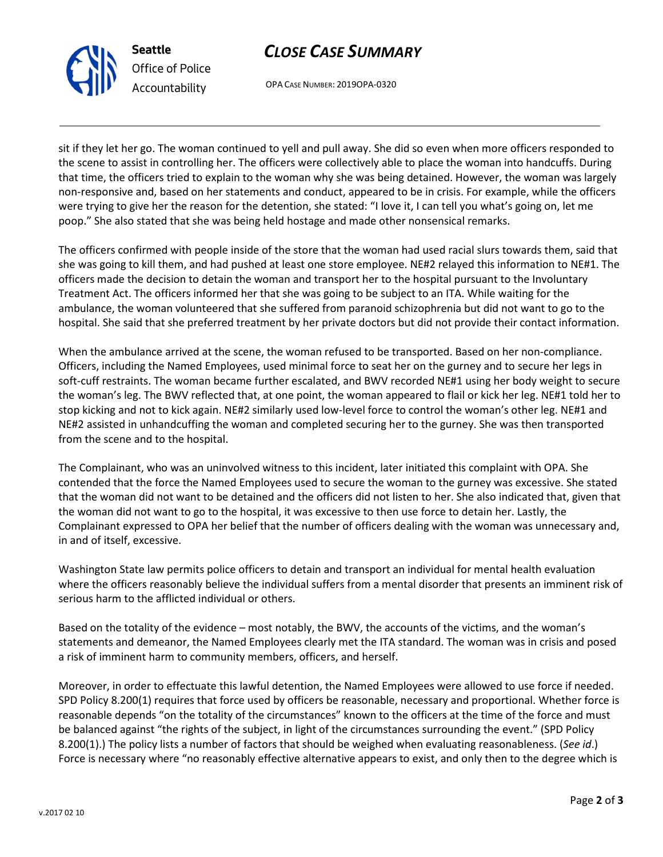

Seattle Office of Police Accountability

# CLOSE CASE SUMMARY

OPA CASE NUMBER: 2019OPA-0320

sit if they let her go. The woman continued to yell and pull away. She did so even when more officers responded to the scene to assist in controlling her. The officers were collectively able to place the woman into handcuffs. During that time, the officers tried to explain to the woman why she was being detained. However, the woman was largely non-responsive and, based on her statements and conduct, appeared to be in crisis. For example, while the officers were trying to give her the reason for the detention, she stated: "I love it, I can tell you what's going on, let me poop." She also stated that she was being held hostage and made other nonsensical remarks.

The officers confirmed with people inside of the store that the woman had used racial slurs towards them, said that she was going to kill them, and had pushed at least one store employee. NE#2 relayed this information to NE#1. The officers made the decision to detain the woman and transport her to the hospital pursuant to the Involuntary Treatment Act. The officers informed her that she was going to be subject to an ITA. While waiting for the ambulance, the woman volunteered that she suffered from paranoid schizophrenia but did not want to go to the hospital. She said that she preferred treatment by her private doctors but did not provide their contact information.

When the ambulance arrived at the scene, the woman refused to be transported. Based on her non-compliance. Officers, including the Named Employees, used minimal force to seat her on the gurney and to secure her legs in soft-cuff restraints. The woman became further escalated, and BWV recorded NE#1 using her body weight to secure the woman's leg. The BWV reflected that, at one point, the woman appeared to flail or kick her leg. NE#1 told her to stop kicking and not to kick again. NE#2 similarly used low-level force to control the woman's other leg. NE#1 and NE#2 assisted in unhandcuffing the woman and completed securing her to the gurney. She was then transported from the scene and to the hospital.

The Complainant, who was an uninvolved witness to this incident, later initiated this complaint with OPA. She contended that the force the Named Employees used to secure the woman to the gurney was excessive. She stated that the woman did not want to be detained and the officers did not listen to her. She also indicated that, given that the woman did not want to go to the hospital, it was excessive to then use force to detain her. Lastly, the Complainant expressed to OPA her belief that the number of officers dealing with the woman was unnecessary and, in and of itself, excessive.

Washington State law permits police officers to detain and transport an individual for mental health evaluation where the officers reasonably believe the individual suffers from a mental disorder that presents an imminent risk of serious harm to the afflicted individual or others.

Based on the totality of the evidence – most notably, the BWV, the accounts of the victims, and the woman's statements and demeanor, the Named Employees clearly met the ITA standard. The woman was in crisis and posed a risk of imminent harm to community members, officers, and herself.

Moreover, in order to effectuate this lawful detention, the Named Employees were allowed to use force if needed. SPD Policy 8.200(1) requires that force used by officers be reasonable, necessary and proportional. Whether force is reasonable depends "on the totality of the circumstances" known to the officers at the time of the force and must be balanced against "the rights of the subject, in light of the circumstances surrounding the event." (SPD Policy 8.200(1).) The policy lists a number of factors that should be weighed when evaluating reasonableness. (See id.) Force is necessary where "no reasonably effective alternative appears to exist, and only then to the degree which is